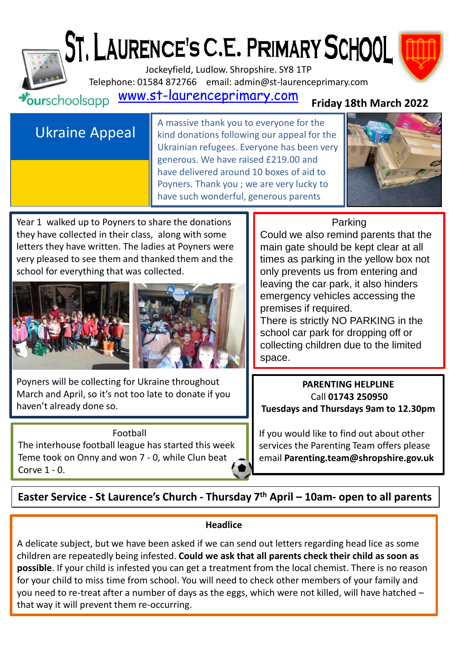# ST. LAURENCE'S C.E. PRIMARY SCHOOL



Jockeyfield, Ludlow. Shropshire. SY8 1TP Telephone: 01584 872766 email: admin@st-laurenceprimary.com

#### [www.st-laurenceprimary.com](http://www.st-laurenceprimary.com/)  $\star$ ourschoolsapp

### **Friday 18th March 2022**

## Ukraine Appeal

A massive thank you to everyone for the kind donations following our appeal for the Ukrainian refugees. Everyone has been very generous. We have raised £219.00 and have delivered around 10 boxes of aid to Poyners. Thank you ; we are very lucky to have such wonderful, generous parents



Year 1 walked up to Poyners to share the donations they have collected in their class, along with some letters they have written. The ladies at Poyners were very pleased to see them and thanked them and the school for everything that was collected.





Poyners will be collecting for Ukraine throughout March and April, so it's not too late to donate if you haven't already done so.

#### Football

The interhouse football league has started this week Teme took on Onny and won 7 - 0, while Clun beat Corve 1 - 0.

#### Parking

Could we also remind parents that the main gate should be kept clear at all times as parking in the yellow box not only prevents us from entering and leaving the car park, it also hinders emergency vehicles accessing the premises if required.

There is strictly NO PARKING in the school car park for dropping off or collecting children due to the limited space.

#### **PARENTING HELPLINE** Call **01743 250950 Tuesdays and Thursdays 9am to 12.30pm**

If you would like to find out about other services the Parenting Team offers please email **Parenting.team@shropshire.gov.uk** 

**Easter Service - St Laurence's Church - Thursday 7th April – 10am- open to all parents**

#### **Headlice**

A delicate subject, but we have been asked if we can send out letters regarding head lice as some children are repeatedly being infested. **Could we ask that all parents check their child as soon as possible**. If your child is infested you can get a treatment from the local chemist. There is no reason for your child to miss time from school. You will need to check other members of your family and you need to re-treat after a number of days as the eggs, which were not killed, will have hatched – that way it will prevent them re-occurring.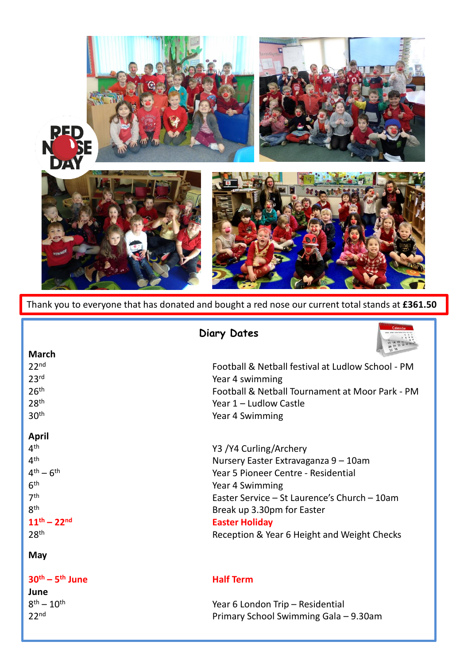

Thank you to everyone that has donated and bought a red nose our current total stands at **£361.50**

| Calenda<br><b>Diary Dates</b> |                                                   |
|-------------------------------|---------------------------------------------------|
| <b>March</b>                  |                                                   |
| 22 <sup>nd</sup>              | Football & Netball festival at Ludlow School - PM |
| 23 <sup>rd</sup>              | Year 4 swimming                                   |
| 26 <sup>th</sup>              | Football & Netball Tournament at Moor Park - PM   |
| 28 <sup>th</sup>              | Year 1 - Ludlow Castle                            |
| 30 <sup>th</sup>              | Year 4 Swimming                                   |
| <b>April</b>                  |                                                   |
| 4 <sup>th</sup>               | Y3 /Y4 Curling/Archery                            |
| 4 <sup>th</sup>               | Nursery Easter Extravaganza 9 - 10am              |
| $4^{th} - 6^{th}$             | Year 5 Pioneer Centre - Residential               |
| 6 <sup>th</sup>               | Year 4 Swimming                                   |
| 7 <sup>th</sup>               | Easter Service - St Laurence's Church - 10am      |
| 8 <sup>th</sup>               | Break up 3.30pm for Easter                        |
| $11^{th} - 22^{nd}$           | <b>Easter Holiday</b>                             |
| 28 <sup>th</sup>              | Reception & Year 6 Height and Weight Checks       |
| May                           |                                                   |

#### **30th – 5**

**June**  $8^{\text{th}} - 10^{\text{th}}$ 

#### **Half Term**

Year 6 London Trip – Residential 22nd Primary School Swimming Gala – 9.30am